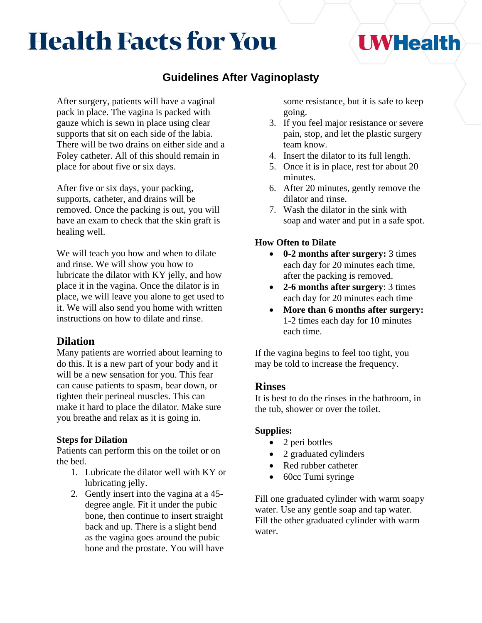# **Health Facts for You**

# **Guidelines After Vaginoplasty**

After surgery, patients will have a vaginal pack in place. The vagina is packed with gauze which is sewn in place using clear supports that sit on each side of the labia. There will be two drains on either side and a Foley catheter. All of this should remain in place for about five or six days.

After five or six days, your packing, supports, catheter, and drains will be removed. Once the packing is out, you will have an exam to check that the skin graft is healing well.

We will teach you how and when to dilate and rinse. We will show you how to lubricate the dilator with KY jelly, and how place it in the vagina. Once the dilator is in place, we will leave you alone to get used to it. We will also send you home with written instructions on how to dilate and rinse.

## **Dilation**

Many patients are worried about learning to do this. It is a new part of your body and it will be a new sensation for you. This fear can cause patients to spasm, bear down, or tighten their perineal muscles. This can make it hard to place the dilator. Make sure you breathe and relax as it is going in.

#### **Steps for Dilation**

Patients can perform this on the toilet or on the bed.

- 1. Lubricate the dilator well with KY or lubricating jelly.
- 2. Gently insert into the vagina at a 45 degree angle. Fit it under the pubic bone, then continue to insert straight back and up. There is a slight bend as the vagina goes around the pubic bone and the prostate. You will have

some resistance, but it is safe to keep going.

**UWHealth** 

- 3. If you feel major resistance or severe pain, stop, and let the plastic surgery team know.
- 4. Insert the dilator to its full length.
- 5. Once it is in place, rest for about 20 minutes.
- 6. After 20 minutes, gently remove the dilator and rinse.
- 7. Wash the dilator in the sink with soap and water and put in a safe spot.

#### **How Often to Dilate**

- **0-2 months after surgery:** 3 times each day for 20 minutes each time, after the packing is removed.
- **2-6 months after surgery**: 3 times each day for 20 minutes each time
- **More than 6 months after surgery:** 1-2 times each day for 10 minutes each time.

If the vagina begins to feel too tight, you may be told to increase the frequency.

#### **Rinses**

It is best to do the rinses in the bathroom, in the tub, shower or over the toilet.

#### **Supplies:**

- 2 peri bottles
- 2 graduated cylinders
- Red rubber catheter
- 60cc Tumi syringe

Fill one graduated cylinder with warm soapy water. Use any gentle soap and tap water. Fill the other graduated cylinder with warm water.